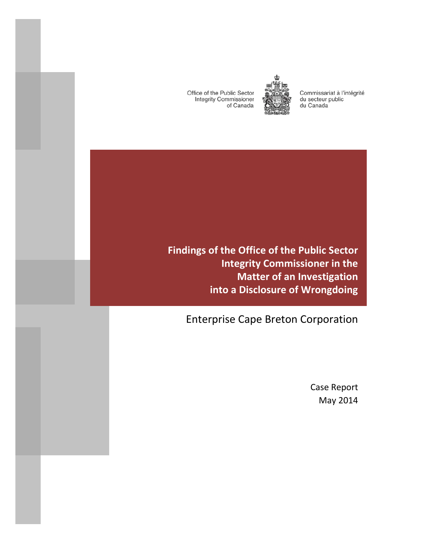Office of the Public Sector **Integrity Commissioner** of Canada



Commissariat à l'intégrité du secteur public du Canada

**Findings of the Office of the Public Sector Integrity Commissioner in the Matter of an Investigation into a Disclosure of Wrongdoing**

Enterprise Cape Breton Corporation

Case Report May 2014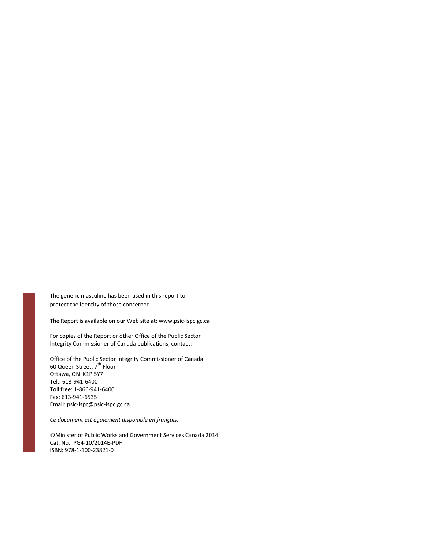The generic masculine has been used in this report to protect the identity of those concerned.

The Report is available on our Web site at: www.psic-ispc.gc.ca

For copies of the Report or other Office of the Public Sector Integrity Commissioner of Canada publications, contact:

Office of the Public Sector Integrity Commissioner of Canada 60 Queen Street,  $7^{\text{th}}$  Floor Ottawa, ON K1P 5Y7 Tel.: 613-941-6400 Toll free: 1-866-941-6400 Fax: 613-941-6535 Email: psic-ispc@psic-ispc.gc.ca

*Ce document est également disponible en français.* 

©Minister of Public Works and Government Services Canada 2014 Cat. No.: PG4-10/2014E-PDF ISBN: 978-1-100-23821-0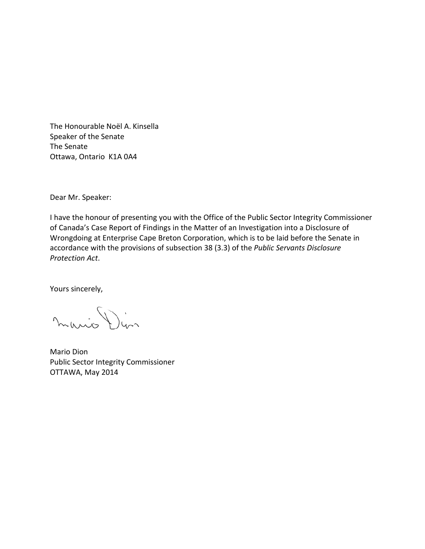The Honourable Noël A. Kinsella Speaker of the Senate The Senate Ottawa, Ontario K1A 0A4

Dear Mr. Speaker:

I have the honour of presenting you with the Office of the Public Sector Integrity Commissioner of Canada's Case Report of Findings in the Matter of an Investigation into a Disclosure of Wrongdoing at Enterprise Cape Breton Corporation, which is to be laid before the Senate in accordance with the provisions of subsection 38 (3.3) of the *Public Servants Disclosure Protection Act*.

Yours sincerely,

mario Din

Mario Dion Public Sector Integrity Commissioner OTTAWA, May 2014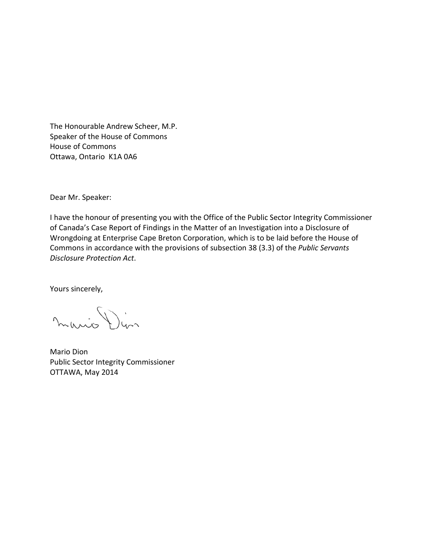The Honourable Andrew Scheer, M.P. Speaker of the House of Commons House of Commons Ottawa, Ontario K1A 0A6

Dear Mr. Speaker:

I have the honour of presenting you with the Office of the Public Sector Integrity Commissioner of Canada's Case Report of Findings in the Matter of an Investigation into a Disclosure of Wrongdoing at Enterprise Cape Breton Corporation, which is to be laid before the House of Commons in accordance with the provisions of subsection 38 (3.3) of the *Public Servants Disclosure Protection Act*.

Yours sincerely,

mario Din

Mario Dion Public Sector Integrity Commissioner OTTAWA, May 2014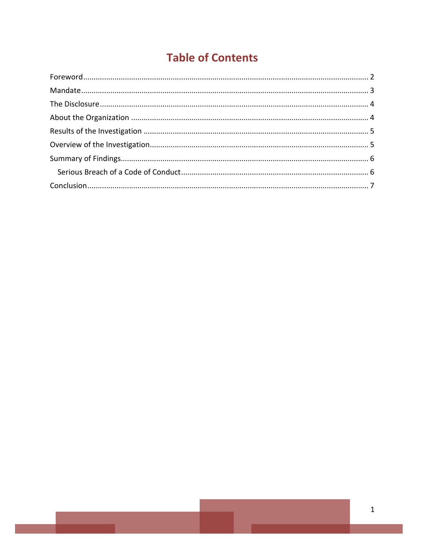# **Table of Contents**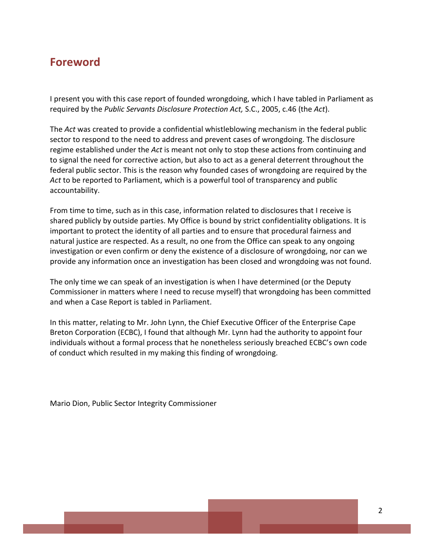#### <span id="page-7-0"></span>**Foreword**

I present you with this case report of founded wrongdoing, which I have tabled in Parliament as required by the *Public Servants Disclosure Protection Act,* S.C., 2005, c.46 (the *Act*).

The *Act* was created to provide a confidential whistleblowing mechanism in the federal public sector to respond to the need to address and prevent cases of wrongdoing. The disclosure regime established under the *Act* is meant not only to stop these actions from continuing and to signal the need for corrective action, but also to act as a general deterrent throughout the federal public sector. This is the reason why founded cases of wrongdoing are required by the *Act* to be reported to Parliament, which is a powerful tool of transparency and public accountability.

From time to time, such as in this case, information related to disclosures that I receive is shared publicly by outside parties. My Office is bound by strict confidentiality obligations. It is important to protect the identity of all parties and to ensure that procedural fairness and natural justice are respected. As a result, no one from the Office can speak to any ongoing investigation or even confirm or deny the existence of a disclosure of wrongdoing, nor can we provide any information once an investigation has been closed and wrongdoing was not found.

The only time we can speak of an investigation is when I have determined (or the Deputy Commissioner in matters where I need to recuse myself) that wrongdoing has been committed and when a Case Report is tabled in Parliament.

In this matter, relating to Mr. John Lynn, the Chief Executive Officer of the Enterprise Cape Breton Corporation (ECBC), I found that although Mr. Lynn had the authority to appoint four individuals without a formal process that he nonetheless seriously breached ECBC's own code of conduct which resulted in my making this finding of wrongdoing.

Mario Dion, Public Sector Integrity Commissioner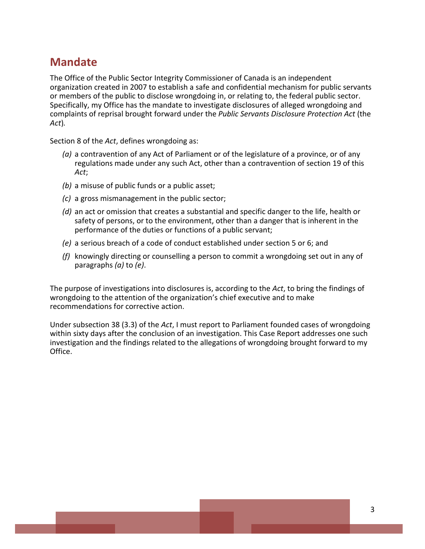## <span id="page-8-0"></span>**Mandate**

The Office of the Public Sector Integrity Commissioner of Canada is an independent organization created in 2007 to establish a safe and confidential mechanism for public servants or members of the public to disclose wrongdoing in, or relating to, the federal public sector. Specifically, my Office has the mandate to investigate disclosures of alleged wrongdoing and complaints of reprisal brought forward under the *Public Servants Disclosure Protection Act* (the *Act*)*.*

Section 8 of the *Act*, defines wrongdoing as:

- *(a)* a contravention of any Act of Parliament or of the legislature of a province, or of any regulations made under any such Act, other than a contravention of section 19 of this *Act*;
- *(b)* a misuse of public funds or a public asset;
- *(c)* a gross mismanagement in the public sector;
- *(d)* an act or omission that creates a substantial and specific danger to the life, health or safety of persons, or to the environment, other than a danger that is inherent in the performance of the duties or functions of a public servant;
- *(e)* a serious breach of a code of conduct established under section 5 or 6; and
- *(f)* knowingly directing or counselling a person to commit a wrongdoing set out in any of paragraphs *(a)* to *(e)*.

The purpose of investigations into disclosures is, according to the *Act*, to bring the findings of wrongdoing to the attention of the organization's chief executive and to make recommendations for corrective action.

Under subsection 38 (3.3) of the *Act*, I must report to Parliament founded cases of wrongdoing within sixty days after the conclusion of an investigation. This Case Report addresses one such investigation and the findings related to the allegations of wrongdoing brought forward to my Office.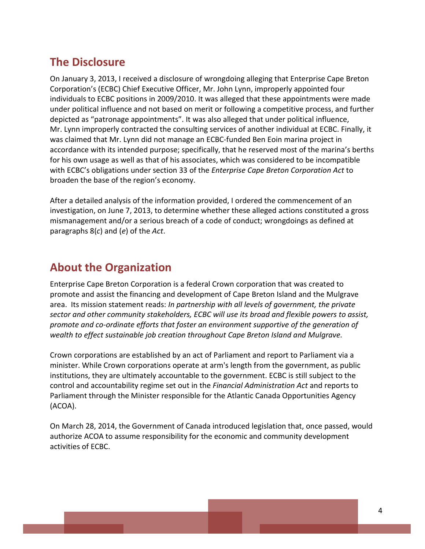### <span id="page-9-0"></span>**The Disclosure**

On January 3, 2013, I received a disclosure of wrongdoing alleging that Enterprise Cape Breton Corporation's (ECBC) Chief Executive Officer, Mr. John Lynn, improperly appointed four individuals to ECBC positions in 2009/2010. It was alleged that these appointments were made under political influence and not based on merit or following a competitive process, and further depicted as "patronage appointments". It was also alleged that under political influence, Mr. Lynn improperly contracted the consulting services of another individual at ECBC. Finally, it was claimed that Mr. Lynn did not manage an ECBC-funded Ben Eoin marina project in accordance with its intended purpose; specifically, that he reserved most of the marina's berths for his own usage as well as that of his associates, which was considered to be incompatible with ECBC's obligations under section 33 of the *Enterprise Cape Breton Corporation Act* to broaden the base of the region's economy.

After a detailed analysis of the information provided, I ordered the commencement of an investigation, on June 7, 2013, to determine whether these alleged actions constituted a gross mismanagement and/or a serious breach of a code of conduct; wrongdoings as defined at paragraphs 8(*c*) and (*e*) of the *Act*.

## <span id="page-9-1"></span>**About the Organization**

Enterprise Cape Breton Corporation is a federal Crown corporation that was created to promote and assist the financing and development of Cape Breton Island and the Mulgrave area. Its mission statement reads: *In partnership with all levels of government, the private sector and other community stakeholders, ECBC will use its broad and flexible powers to assist, promote and co-ordinate efforts that foster an environment supportive of the generation of wealth to effect sustainable job creation throughout Cape Breton Island and Mulgrave.*

Crown corporations are established by an act of Parliament and report to Parliament via a minister. While Crown corporations operate at arm's length from the government, as public institutions, they are ultimately accountable to the government. ECBC is still subject to the control and accountability regime set out in the *Financial Administration Act* and reports to Parliament through the Minister responsible for the Atlantic Canada Opportunities Agency (ACOA).

On March 28, 2014, the Government of Canada introduced legislation that, once passed, would authorize ACOA to assume responsibility for the economic and community development activities of ECBC.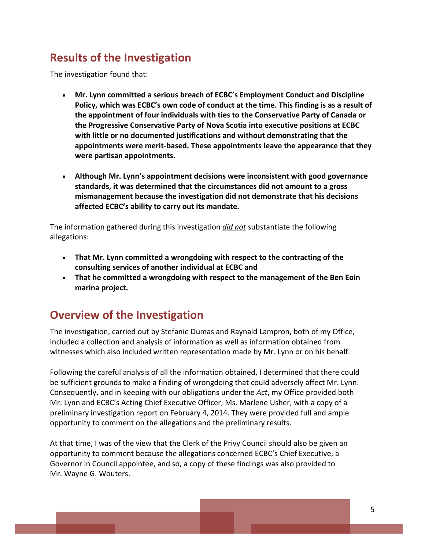# <span id="page-10-0"></span>**Results of the Investigation**

The investigation found that:

- **Mr. Lynn committed a serious breach of ECBC's Employment Conduct and Discipline Policy, which was ECBC's own code of conduct at the time. This finding is as a result of the appointment of four individuals with ties to the Conservative Party of Canada or the Progressive Conservative Party of Nova Scotia into executive positions at ECBC with little or no documented justifications and without demonstrating that the appointments were merit-based. These appointments leave the appearance that they were partisan appointments.**
- **Although Mr. Lynn's appointment decisions were inconsistent with good governance standards, it was determined that the circumstances did not amount to a gross mismanagement because the investigation did not demonstrate that his decisions affected ECBC's ability to carry out its mandate.**

The information gathered during this investigation *did not* substantiate the following allegations:

- **That Mr. Lynn committed a wrongdoing with respect to the contracting of the consulting services of another individual at ECBC and**
- **That he committed a wrongdoing with respect to the management of the Ben Eoin marina project.**

# <span id="page-10-1"></span>**Overview of the Investigation**

The investigation, carried out by Stefanie Dumas and Raynald Lampron, both of my Office, included a collection and analysis of information as well as information obtained from witnesses which also included written representation made by Mr. Lynn or on his behalf.

Following the careful analysis of all the information obtained, I determined that there could be sufficient grounds to make a finding of wrongdoing that could adversely affect Mr. Lynn. Consequently, and in keeping with our obligations under the *Act*, my Office provided both Mr. Lynn and ECBC's Acting Chief Executive Officer, Ms. Marlene Usher, with a copy of a preliminary investigation report on February 4, 2014. They were provided full and ample opportunity to comment on the allegations and the preliminary results.

At that time, I was of the view that the Clerk of the Privy Council should also be given an opportunity to comment because the allegations concerned ECBC's Chief Executive, a Governor in Council appointee, and so, a copy of these findings was also provided to Mr. Wayne G. Wouters.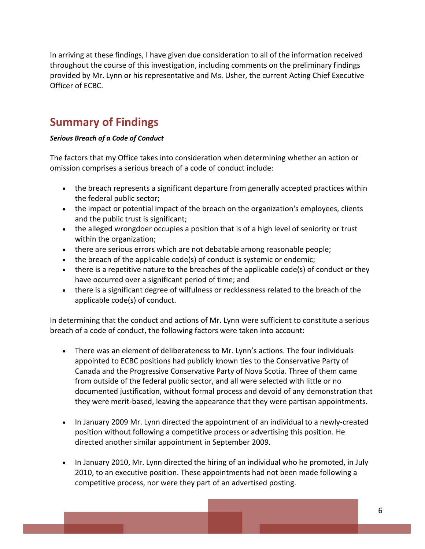In arriving at these findings, I have given due consideration to all of the information received throughout the course of this investigation, including comments on the preliminary findings provided by Mr. Lynn or his representative and Ms. Usher, the current Acting Chief Executive Officer of ECBC.

## <span id="page-11-0"></span>**Summary of Findings**

#### <span id="page-11-1"></span>*Serious Breach of a Code of Conduct*

The factors that my Office takes into consideration when determining whether an action or omission comprises a serious breach of a code of conduct include:

- the breach represents a significant departure from generally accepted practices within the federal public sector;
- the impact or potential impact of the breach on the organization's employees, clients and the public trust is significant;
- the alleged wrongdoer occupies a position that is of a high level of seniority or trust within the organization;
- there are serious errors which are not debatable among reasonable people;
- the breach of the applicable code(s) of conduct is systemic or endemic;
- there is a repetitive nature to the breaches of the applicable code(s) of conduct or they have occurred over a significant period of time; and
- there is a significant degree of wilfulness or recklessness related to the breach of the applicable code(s) of conduct.

In determining that the conduct and actions of Mr. Lynn were sufficient to constitute a serious breach of a code of conduct, the following factors were taken into account:

- There was an element of deliberateness to Mr. Lynn's actions. The four individuals appointed to ECBC positions had publicly known ties to the Conservative Party of Canada and the Progressive Conservative Party of Nova Scotia. Three of them came from outside of the federal public sector, and all were selected with little or no documented justification, without formal process and devoid of any demonstration that they were merit-based, leaving the appearance that they were partisan appointments.
- In January 2009 Mr. Lynn directed the appointment of an individual to a newly-created position without following a competitive process or advertising this position. He directed another similar appointment in September 2009.
- In January 2010, Mr. Lynn directed the hiring of an individual who he promoted, in July 2010, to an executive position. These appointments had not been made following a competitive process, nor were they part of an advertised posting.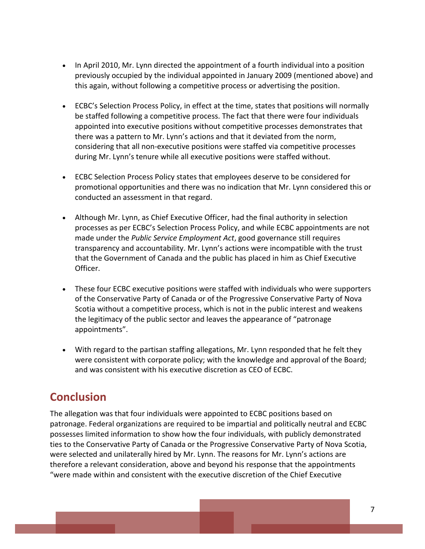- In April 2010, Mr. Lynn directed the appointment of a fourth individual into a position previously occupied by the individual appointed in January 2009 (mentioned above) and this again, without following a competitive process or advertising the position.
- ECBC's Selection Process Policy, in effect at the time, states that positions will normally be staffed following a competitive process. The fact that there were four individuals appointed into executive positions without competitive processes demonstrates that there was a pattern to Mr. Lynn's actions and that it deviated from the norm, considering that all non-executive positions were staffed via competitive processes during Mr. Lynn's tenure while all executive positions were staffed without.
- ECBC Selection Process Policy states that employees deserve to be considered for promotional opportunities and there was no indication that Mr. Lynn considered this or conducted an assessment in that regard.
- Although Mr. Lynn, as Chief Executive Officer, had the final authority in selection processes as per ECBC's Selection Process Policy, and while ECBC appointments are not made under the *Public Service Employment Act*, good governance still requires transparency and accountability. Mr. Lynn's actions were incompatible with the trust that the Government of Canada and the public has placed in him as Chief Executive Officer.
- These four ECBC executive positions were staffed with individuals who were supporters of the Conservative Party of Canada or of the Progressive Conservative Party of Nova Scotia without a competitive process, which is not in the public interest and weakens the legitimacy of the public sector and leaves the appearance of "patronage appointments".
- With regard to the partisan staffing allegations, Mr. Lynn responded that he felt they were consistent with corporate policy; with the knowledge and approval of the Board; and was consistent with his executive discretion as CEO of ECBC.

# <span id="page-12-0"></span>**Conclusion**

The allegation was that four individuals were appointed to ECBC positions based on patronage. Federal organizations are required to be impartial and politically neutral and ECBC possesses limited information to show how the four individuals, with publicly demonstrated ties to the Conservative Party of Canada or the Progressive Conservative Party of Nova Scotia, were selected and unilaterally hired by Mr. Lynn. The reasons for Mr. Lynn's actions are therefore a relevant consideration, above and beyond his response that the appointments "were made within and consistent with the executive discretion of the Chief Executive